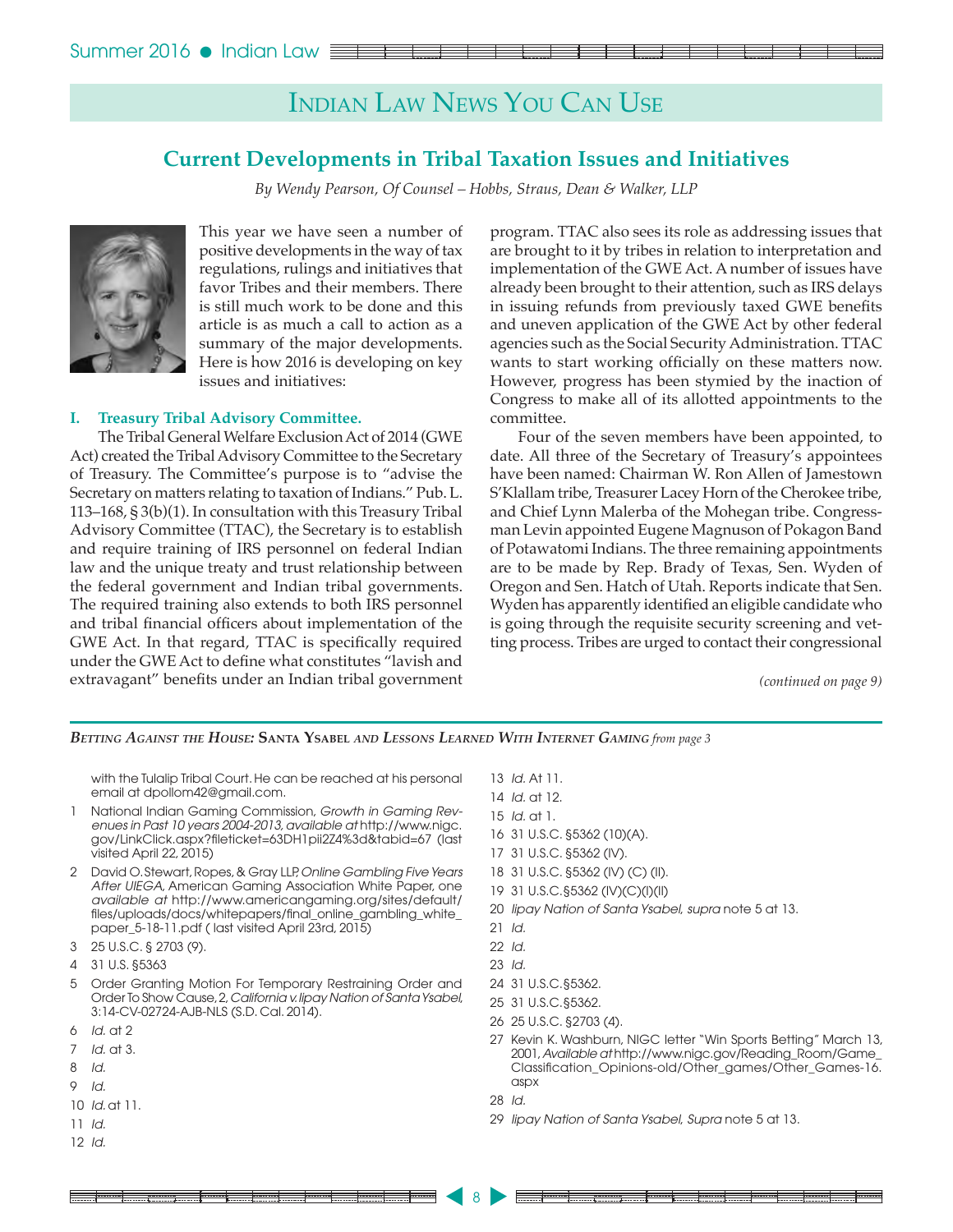## Indian Law News You Can Use

### **Current Developments in Tribal Taxation Issues and Initiatives**

*By Wendy Pearson, Of Counsel – Hobbs, Straus, Dean & Walker, LLP*



This year we have seen a number of positive developments in the way of tax regulations, rulings and initiatives that favor Tribes and their members. There is still much work to be done and this article is as much a call to action as a summary of the major developments. Here is how 2016 is developing on key issues and initiatives:

### **I. Treasury Tribal Advisory Committee.**

The Tribal General Welfare Exclusion Act of 2014 (GWE Act) created the Tribal Advisory Committee to the Secretary of Treasury. The Committee's purpose is to "advise the Secretary on matters relating to taxation of Indians." Pub. L. 113–168, § 3(b)(1). In consultation with this Treasury Tribal Advisory Committee (TTAC), the Secretary is to establish and require training of IRS personnel on federal Indian law and the unique treaty and trust relationship between the federal government and Indian tribal governments. The required training also extends to both IRS personnel and tribal financial officers about implementation of the GWE Act. In that regard, TTAC is specifically required under the GWE Act to define what constitutes "lavish and extravagant" benefits under an Indian tribal government

program. TTAC also sees its role as addressing issues that are brought to it by tribes in relation to interpretation and implementation of the GWE Act. A number of issues have already been brought to their attention, such as IRS delays in issuing refunds from previously taxed GWE benefits and uneven application of the GWE Act by other federal agencies such as the Social Security Administration. TTAC wants to start working officially on these matters now. However, progress has been stymied by the inaction of Congress to make all of its allotted appointments to the committee.

Four of the seven members have been appointed, to date. All three of the Secretary of Treasury's appointees have been named: Chairman W. Ron Allen of Jamestown S'Klallam tribe, Treasurer Lacey Horn of the Cherokee tribe, and Chief Lynn Malerba of the Mohegan tribe. Congressman Levin appointed Eugene Magnuson of Pokagon Band of Potawatomi Indians. The three remaining appointments are to be made by Rep. Brady of Texas, Sen. Wyden of Oregon and Sen. Hatch of Utah. Reports indicate that Sen. Wyden has apparently identified an eligible candidate who is going through the requisite security screening and vetting process. Tribes are urged to contact their congressional

*(continued on page 9)*

*Betting Against the House:* **Santa Ysabel** *and Lessons Learned With Internet Gaming from page 3*

with the Tulalip Tribal Court.He can be reached at his personal email at dpollom42@gmail.com.

- 1 National Indian Gaming Commission, *Growth in Gaming Revenues in Past 10 years 2004-2013, available at* http://www.nigc. gov/LinkClick.aspx?fileticket=63DH1pii2Z4%3d&tabid=67 (last visited April 22, 2015)
- 2 David O.Stewart,Ropes,& Gray LLP,*Online Gambling Five Years After UIEGA*, American Gaming Association White Paper, one *available at* http://www.americangaming.org/sites/default/ files/uploads/docs/whitepapers/final\_online\_gambling\_white\_ paper\_5-18-11.pdf ( last visited April 23rd, 2015)
- 3 25 U.S.C. § 2703 (9).
- 4 31 U.S. §5363
- 5 Order Granting Motion For Temporary Restraining Order and Order To Show Cause,2,*California v. Iipay Nation of Santa Ysabel*, 3:14-CV-02724-AJB-NLS (S.D. Cal. 2014).
- 6 *Id.* at 2
- 7 *Id.* at 3.
- 8 *Id.*
- 9 *Id.*
- 10 *Id.* at 11.
- 11 *Id.*
- 12 *Id.*
- 13 *Id.* At 11. 14 *Id.* at 12. 15 *Id.* at 1. 16 31 U.S.C. §5362 (10)(A). 17 31 U.S.C. §5362 (IV). 18 31 U.S.C. §5362 (IV) (C) (II). 19 31 U.S.C.§5362 (IV)(C)(I)(II) 20 *Iipay Nation of Santa Ysabel*, *supra* note 5 at 13. 21 *Id.* 22 *Id.* 23 *Id.* 24 31 U.S.C.§5362. 25 31 U.S.C.§5362. 26 25 U.S.C. §2703 (4).
- 27 Kevin K. Washburn, NIGC letter "Win Sports Betting" March 13, 2001,*Available at* http://www.nigc.gov/Reading\_Room/Game\_ Classification\_Opinions-old/Other\_games/Other\_Games-16. aspx
- 28 *Id.*

8

<sup>29</sup>  *Iipay Nation of Santa Ysabel*, *Supra* note 5 at 13.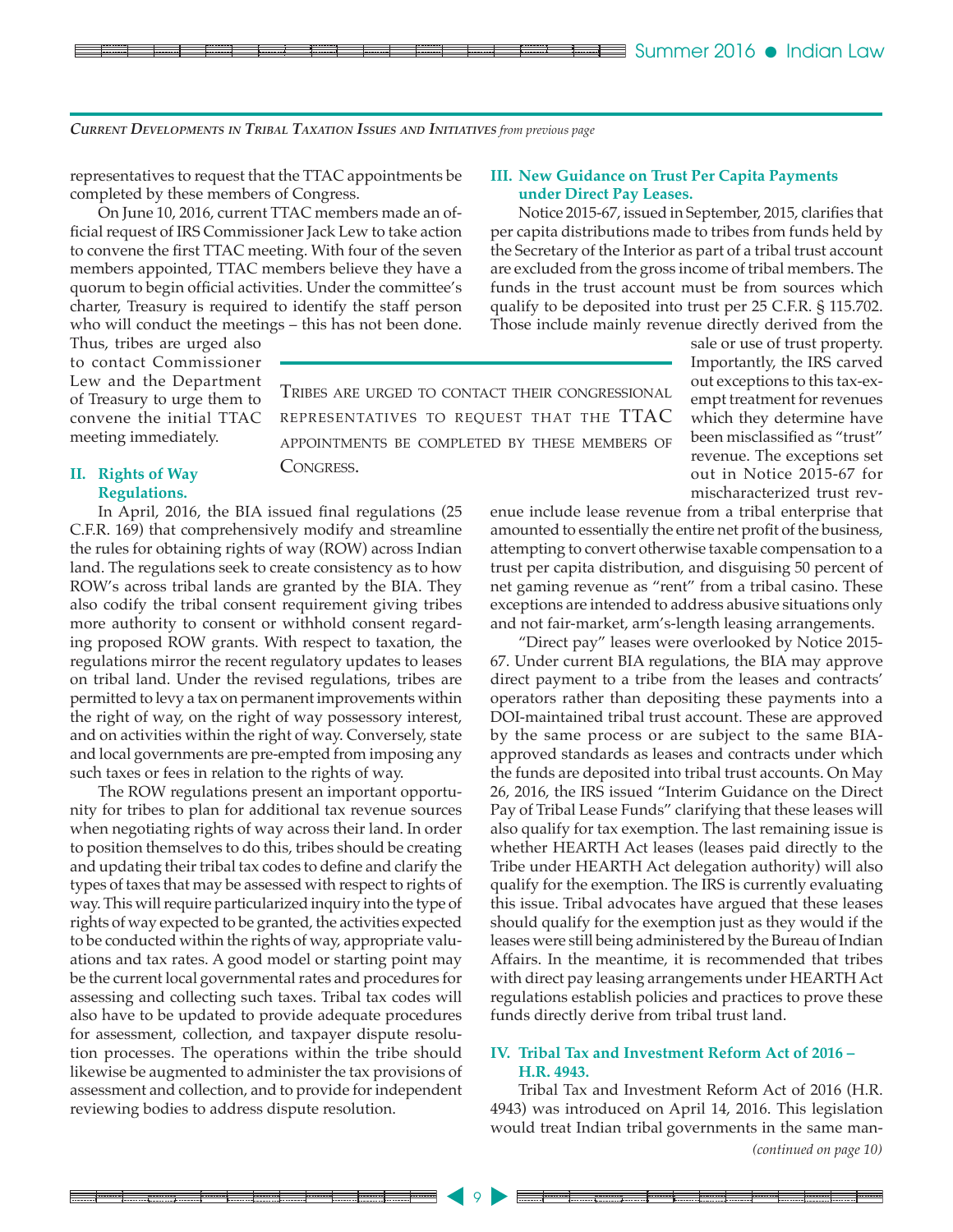*Current Developments in Tribal Taxation Issues and Initiatives from previous page*

representatives to request that the TTAC appointments be completed by these members of Congress.

On June 10, 2016, current TTAC members made an official request of IRS Commissioner Jack Lew to take action to convene the first TTAC meeting. With four of the seven members appointed, TTAC members believe they have a quorum to begin official activities. Under the committee's charter, Treasury is required to identify the staff person who will conduct the meetings – this has not been done.

Thus, tribes are urged also to contact Commissioner Lew and the Department of Treasury to urge them to convene the initial TTAC meeting immediately.

### **II. Rights of Way Regulations.**

In April, 2016, the BIA issued final regulations (25 C.F.R. 169) that comprehensively modify and streamline the rules for obtaining rights of way (ROW) across Indian land. The regulations seek to create consistency as to how ROW's across tribal lands are granted by the BIA. They also codify the tribal consent requirement giving tribes more authority to consent or withhold consent regarding proposed ROW grants. With respect to taxation, the regulations mirror the recent regulatory updates to leases on tribal land. Under the revised regulations, tribes are permitted to levy a tax on permanent improvements within the right of way, on the right of way possessory interest, and on activities within the right of way. Conversely, state and local governments are pre-empted from imposing any such taxes or fees in relation to the rights of way.

The ROW regulations present an important opportunity for tribes to plan for additional tax revenue sources when negotiating rights of way across their land. In order to position themselves to do this, tribes should be creating and updating their tribal tax codes to define and clarify the types of taxes that may be assessed with respect to rights of way. This will require particularized inquiry into the type of rights of way expected to be granted, the activities expected to be conducted within the rights of way, appropriate valuations and tax rates. A good model or starting point may be the current local governmental rates and procedures for assessing and collecting such taxes. Tribal tax codes will also have to be updated to provide adequate procedures for assessment, collection, and taxpayer dispute resolution processes. The operations within the tribe should likewise be augmented to administer the tax provisions of assessment and collection, and to provide for independent reviewing bodies to address dispute resolution.

### **III. New Guidance on Trust Per Capita Payments under Direct Pay Leases.**

Notice 2015-67, issued in September, 2015, clarifies that per capita distributions made to tribes from funds held by the Secretary of the Interior as part of a tribal trust account are excluded from the gross income of tribal members. The funds in the trust account must be from sources which qualify to be deposited into trust per 25 C.F.R. § 115.702. Those include mainly revenue directly derived from the

Tribes are urged to contact their congressional representatives to request that the TTAC appointments be completed by these members of Congress.

9

sale or use of trust property. Importantly, the IRS carved out exceptions to this tax-exempt treatment for revenues which they determine have been misclassified as "trust" revenue. The exceptions set out in Notice 2015-67 for mischaracterized trust rev-

enue include lease revenue from a tribal enterprise that amounted to essentially the entire net profit of the business, attempting to convert otherwise taxable compensation to a trust per capita distribution, and disguising 50 percent of net gaming revenue as "rent" from a tribal casino. These exceptions are intended to address abusive situations only and not fair-market, arm's-length leasing arrangements.

"Direct pay" leases were overlooked by Notice 2015- 67. Under current BIA regulations, the BIA may approve direct payment to a tribe from the leases and contracts' operators rather than depositing these payments into a DOI-maintained tribal trust account. These are approved by the same process or are subject to the same BIAapproved standards as leases and contracts under which the funds are deposited into tribal trust accounts. On May 26, 2016, the IRS issued "Interim Guidance on the Direct Pay of Tribal Lease Funds" clarifying that these leases will also qualify for tax exemption. The last remaining issue is whether HEARTH Act leases (leases paid directly to the Tribe under HEARTH Act delegation authority) will also qualify for the exemption. The IRS is currently evaluating this issue. Tribal advocates have argued that these leases should qualify for the exemption just as they would if the leases were still being administered by the Bureau of Indian Affairs. In the meantime, it is recommended that tribes with direct pay leasing arrangements under HEARTH Act regulations establish policies and practices to prove these funds directly derive from tribal trust land.

### **IV. Tribal Tax and Investment Reform Act of 2016 – H.R. 4943.**

Tribal Tax and Investment Reform Act of 2016 (H.R. 4943) was introduced on April 14, 2016. This legislation would treat Indian tribal governments in the same man-

*(continued on page 10)*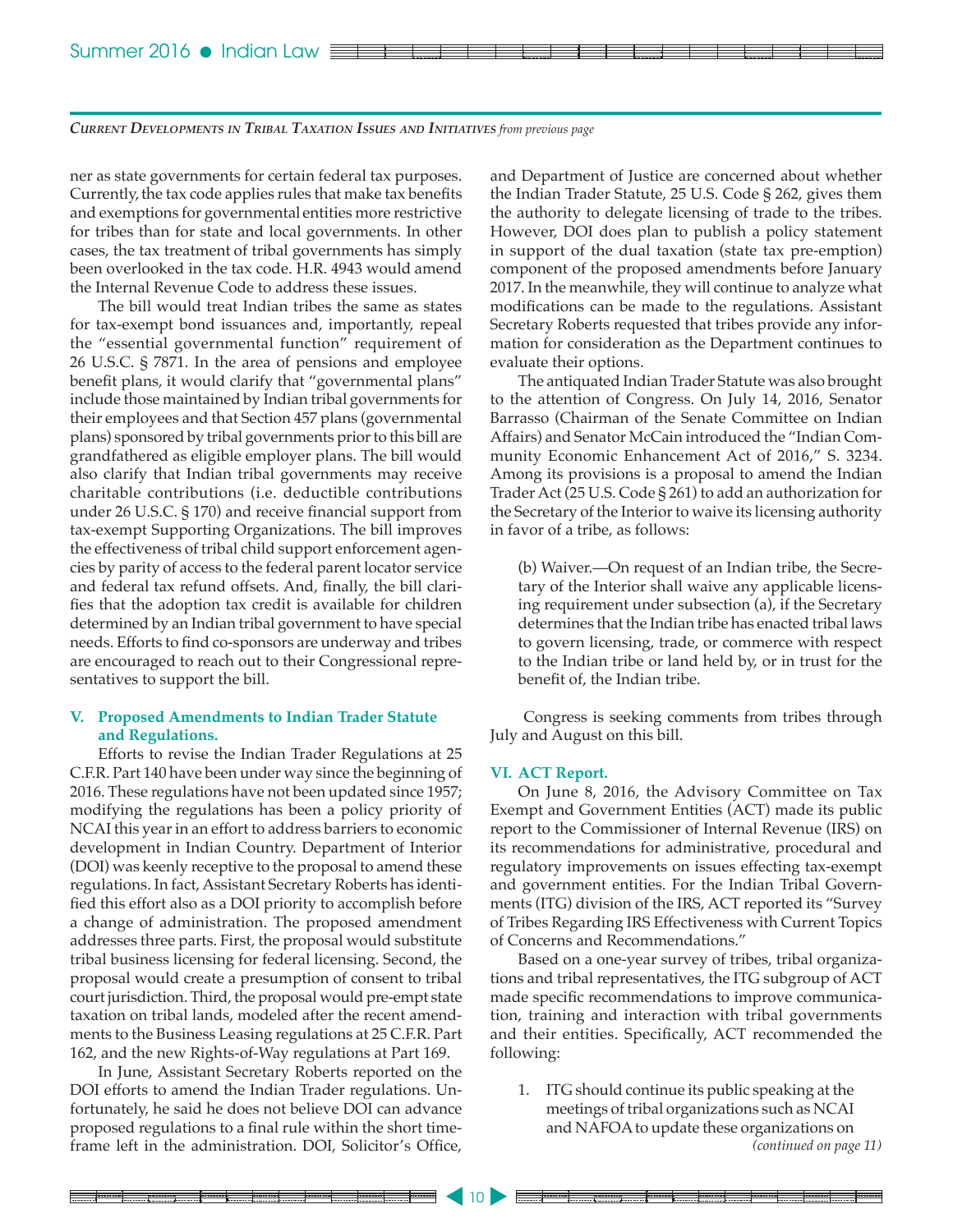ner as state governments for certain federal tax purposes. Currently, the tax code applies rules that make tax benefits and exemptions for governmental entities more restrictive for tribes than for state and local governments. In other cases, the tax treatment of tribal governments has simply been overlooked in the tax code. H.R. 4943 would amend the Internal Revenue Code to address these issues.

The bill would treat Indian tribes the same as states for tax-exempt bond issuances and, importantly, repeal the "essential governmental function" requirement of 26 U.S.C. § 7871. In the area of pensions and employee benefit plans, it would clarify that "governmental plans" include those maintained by Indian tribal governments for their employees and that Section 457 plans (governmental plans) sponsored by tribal governments prior to this bill are grandfathered as eligible employer plans. The bill would also clarify that Indian tribal governments may receive charitable contributions (i.e. deductible contributions under 26 U.S.C. § 170) and receive financial support from tax-exempt Supporting Organizations. The bill improves the effectiveness of tribal child support enforcement agencies by parity of access to the federal parent locator service and federal tax refund offsets. And, finally, the bill clarifies that the adoption tax credit is available for children determined by an Indian tribal government to have special needs. Efforts to find co-sponsors are underway and tribes are encouraged to reach out to their Congressional representatives to support the bill.

### **V. Proposed Amendments to Indian Trader Statute and Regulations.**

Efforts to revise the Indian Trader Regulations at 25 C.F.R. Part 140 have been under way since the beginning of 2016. These regulations have not been updated since 1957; modifying the regulations has been a policy priority of NCAI this year in an effort to address barriers to economic development in Indian Country. Department of Interior (DOI) was keenly receptive to the proposal to amend these regulations. In fact, Assistant Secretary Roberts has identified this effort also as a DOI priority to accomplish before a change of administration. The proposed amendment addresses three parts. First, the proposal would substitute tribal business licensing for federal licensing. Second, the proposal would create a presumption of consent to tribal court jurisdiction. Third, the proposal would pre-empt state taxation on tribal lands, modeled after the recent amendments to the Business Leasing regulations at 25 C.F.R. Part 162, and the new Rights-of-Way regulations at Part 169.

In June, Assistant Secretary Roberts reported on the DOI efforts to amend the Indian Trader regulations. Unfortunately, he said he does not believe DOI can advance proposed regulations to a final rule within the short timeframe left in the administration. DOI, Solicitor's Office,

and Department of Justice are concerned about whether the Indian Trader Statute, 25 U.S. Code § 262, gives them the authority to delegate licensing of trade to the tribes. However, DOI does plan to publish a policy statement in support of the dual taxation (state tax pre-emption) component of the proposed amendments before January 2017. In the meanwhile, they will continue to analyze what modifications can be made to the regulations. Assistant Secretary Roberts requested that tribes provide any information for consideration as the Department continues to evaluate their options.

The antiquated Indian Trader Statute was also brought to the attention of Congress. On July 14, 2016, Senator Barrasso (Chairman of the Senate Committee on Indian Affairs) and Senator McCain introduced the "Indian Community Economic Enhancement Act of 2016," S. 3234. Among its provisions is a proposal to amend the Indian Trader Act (25 U.S. Code § 261) to add an authorization for the Secretary of the Interior to waive its licensing authority in favor of a tribe, as follows:

(b) Waiver.—On request of an Indian tribe, the Secretary of the Interior shall waive any applicable licensing requirement under subsection (a), if the Secretary determines that the Indian tribe has enacted tribal laws to govern licensing, trade, or commerce with respect to the Indian tribe or land held by, or in trust for the benefit of, the Indian tribe.

Congress is seeking comments from tribes through July and August on this bill.

### **VI. ACT Report.**

On June 8, 2016, the Advisory Committee on Tax Exempt and Government Entities (ACT) made its public report to the Commissioner of Internal Revenue (IRS) on its recommendations for administrative, procedural and regulatory improvements on issues effecting tax-exempt and government entities. For the Indian Tribal Governments (ITG) division of the IRS, ACT reported its "Survey of Tribes Regarding IRS Effectiveness with Current Topics of Concerns and Recommendations."

Based on a one-year survey of tribes, tribal organizations and tribal representatives, the ITG subgroup of ACT made specific recommendations to improve communication, training and interaction with tribal governments and their entities. Specifically, ACT recommended the following:

*(continued on page 11)* 1. ITG should continue its public speaking at the meetings of tribal organizations such as NCAI and NAFOA to update these organizations on